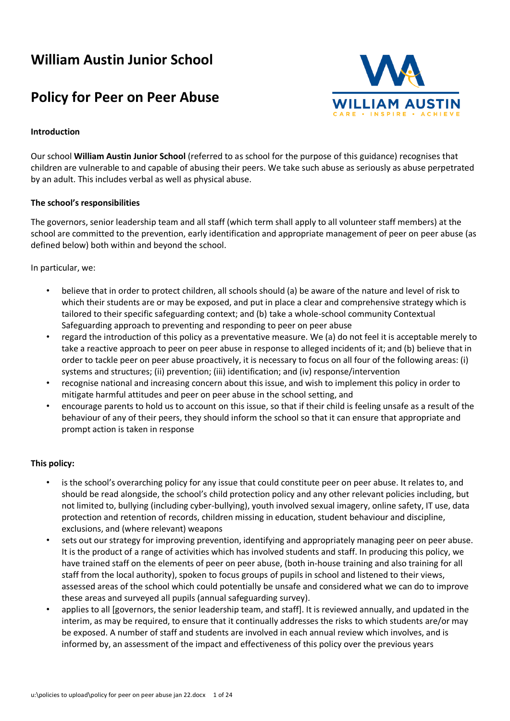# **William Austin Junior School**

# **Policy for Peer on Peer Abuse**



## **Introduction**

Our school **William Austin Junior School** (referred to as school for the purpose of this guidance) recognises that children are vulnerable to and capable of abusing their peers. We take such abuse as seriously as abuse perpetrated by an adult. This includes verbal as well as physical abuse.

## **The school's responsibilities**

The governors, senior leadership team and all staff (which term shall apply to all volunteer staff members) at the school are committed to the prevention, early identification and appropriate management of peer on peer abuse (as defined below) both within and beyond the school.

In particular, we:

- believe that in order to protect children, all schools should (a) be aware of the nature and level of risk to which their students are or may be exposed, and put in place a clear and comprehensive strategy which is tailored to their specific safeguarding context; and (b) take a whole-school community Contextual Safeguarding approach to preventing and responding to peer on peer abuse
- regard the introduction of this policy as a preventative measure. We (a) do not feel it is acceptable merely to take a reactive approach to peer on peer abuse in response to alleged incidents of it; and (b) believe that in order to tackle peer on peer abuse proactively, it is necessary to focus on all four of the following areas: (i) systems and structures; (ii) prevention; (iii) identification; and (iv) response/intervention
- recognise national and increasing concern about this issue, and wish to implement this policy in order to mitigate harmful attitudes and peer on peer abuse in the school setting, and
- encourage parents to hold us to account on this issue, so that if their child is feeling unsafe as a result of the behaviour of any of their peers, they should inform the school so that it can ensure that appropriate and prompt action is taken in response

## **This policy:**

- is the school's overarching policy for any issue that could constitute peer on peer abuse. It relates to, and should be read alongside, the school's child protection policy and any other relevant policies including, but not limited to, bullying (including cyber-bullying), youth involved sexual imagery, online safety, IT use, data protection and retention of records, children missing in education, student behaviour and discipline, exclusions, and (where relevant) weapons
- sets out our strategy for improving prevention, identifying and appropriately managing peer on peer abuse. It is the product of a range of activities which has involved students and staff. In producing this policy, we have trained staff on the elements of peer on peer abuse, (both in-house training and also training for all staff from the local authority), spoken to focus groups of pupils in school and listened to their views, assessed areas of the school which could potentially be unsafe and considered what we can do to improve these areas and surveyed all pupils (annual safeguarding survey).
- applies to all [governors, the senior leadership team, and staff]. It is reviewed annually, and updated in the interim, as may be required, to ensure that it continually addresses the risks to which students are/or may be exposed. A number of staff and students are involved in each annual review which involves, and is informed by, an assessment of the impact and effectiveness of this policy over the previous years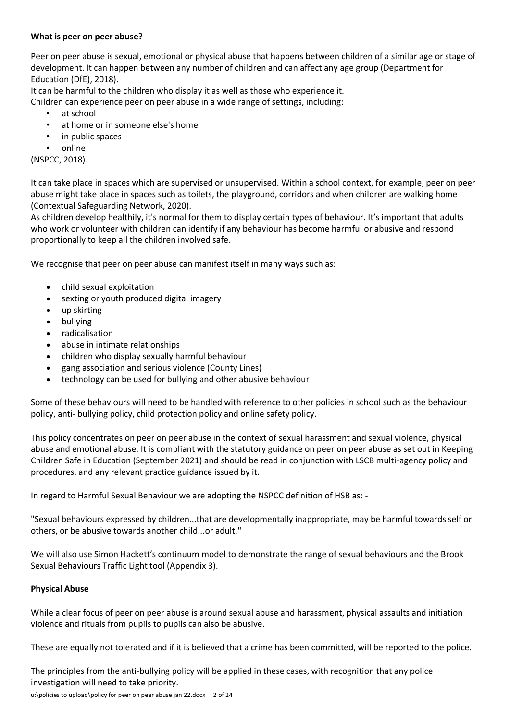## **What is peer on peer abuse?**

Peer on peer abuse is sexual, emotional or physical abuse that happens between children of a similar age or stage of development. It can happen between any number of children and can affect any age group (Department for Education (DfE), 2018).

It can be harmful to the children who display it as well as those who experience it.

Children can experience peer on peer abuse in a wide range of settings, including:

- at school
- at home or in someone else's home
- in public spaces
- online

(NSPCC, 2018).

It can take place in spaces which are supervised or unsupervised. Within a school context, for example, peer on peer abuse might take place in spaces such as toilets, the playground, corridors and when children are walking home (Contextual Safeguarding Network, 2020).

As children develop healthily, it's normal for them to display certain types of behaviour. It's important that adults who work or volunteer with children can identify if any behaviour has become harmful or abusive and respond proportionally to keep all the children involved safe.

We recognise that peer on peer abuse can manifest itself in many ways such as:

- child sexual exploitation
- sexting or youth produced digital imagery
- up skirting
- bullying
- radicalisation
- abuse in intimate relationships
- children who display sexually harmful behaviour
- gang association and serious violence (County Lines)
- technology can be used for bullying and other abusive behaviour

Some of these behaviours will need to be handled with reference to other policies in school such as the behaviour policy, anti- bullying policy, child protection policy and online safety policy.

This policy concentrates on peer on peer abuse in the context of sexual harassment and sexual violence, physical abuse and emotional abuse. It is compliant with the statutory guidance on peer on peer abuse as set out in Keeping Children Safe in Education (September 2021) and should be read in conjunction with LSCB multi-agency policy and procedures, and any relevant practice guidance issued by it.

In regard to Harmful Sexual Behaviour we are adopting the NSPCC definition of HSB as: -

"Sexual behaviours expressed by children...that are developmentally inappropriate, may be harmful towards self or others, or be abusive towards another child...or adult."

We will also use Simon Hackett's continuum model to demonstrate the range of sexual behaviours and the Brook Sexual Behaviours Traffic Light tool (Appendix 3).

## **Physical Abuse**

While a clear focus of peer on peer abuse is around sexual abuse and harassment, physical assaults and initiation violence and rituals from pupils to pupils can also be abusive.

These are equally not tolerated and if it is believed that a crime has been committed, will be reported to the police.

The principles from the anti-bullying policy will be applied in these cases, with recognition that any police investigation will need to take priority.

u:\policies to upload\policy for peer on peer abuse jan 22.docx 2 of 24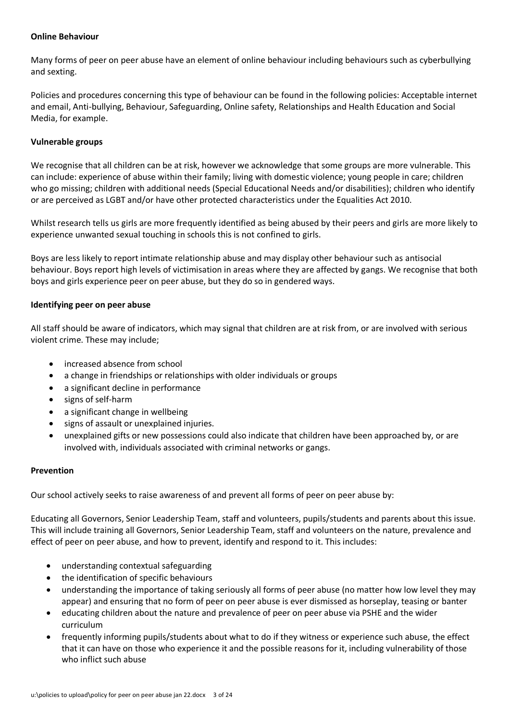## **Online Behaviour**

Many forms of peer on peer abuse have an element of online behaviour including behaviours such as cyberbullying and sexting.

Policies and procedures concerning this type of behaviour can be found in the following policies: Acceptable internet and email, Anti-bullying, Behaviour, Safeguarding, Online safety, Relationships and Health Education and Social Media, for example.

## **Vulnerable groups**

We recognise that all children can be at risk, however we acknowledge that some groups are more vulnerable. This can include: experience of abuse within their family; living with domestic violence; young people in care; children who go missing; children with additional needs (Special Educational Needs and/or disabilities); children who identify or are perceived as LGBT and/or have other protected characteristics under the Equalities Act 2010.

Whilst research tells us girls are more frequently identified as being abused by their peers and girls are more likely to experience unwanted sexual touching in schools this is not confined to girls.

Boys are less likely to report intimate relationship abuse and may display other behaviour such as antisocial behaviour. Boys report high levels of victimisation in areas where they are affected by gangs. We recognise that both boys and girls experience peer on peer abuse, but they do so in gendered ways.

## **Identifying peer on peer abuse**

All staff should be aware of indicators, which may signal that children are at risk from, or are involved with serious violent crime. These may include;

- increased absence from school
- a change in friendships or relationships with older individuals or groups
- a significant decline in performance
- signs of self-harm
- a significant change in wellbeing
- signs of assault or unexplained injuries.
- unexplained gifts or new possessions could also indicate that children have been approached by, or are involved with, individuals associated with criminal networks or gangs.

## **Prevention**

Our school actively seeks to raise awareness of and prevent all forms of peer on peer abuse by:

Educating all Governors, Senior Leadership Team, staff and volunteers, pupils/students and parents about this issue. This will include training all Governors, Senior Leadership Team, staff and volunteers on the nature, prevalence and effect of peer on peer abuse, and how to prevent, identify and respond to it. This includes:

- understanding contextual safeguarding
- the identification of specific behaviours
- understanding the importance of taking seriously all forms of peer abuse (no matter how low level they may appear) and ensuring that no form of peer on peer abuse is ever dismissed as horseplay, teasing or banter
- educating children about the nature and prevalence of peer on peer abuse via PSHE and the wider curriculum
- frequently informing pupils/students about what to do if they witness or experience such abuse, the effect that it can have on those who experience it and the possible reasons for it, including vulnerability of those who inflict such abuse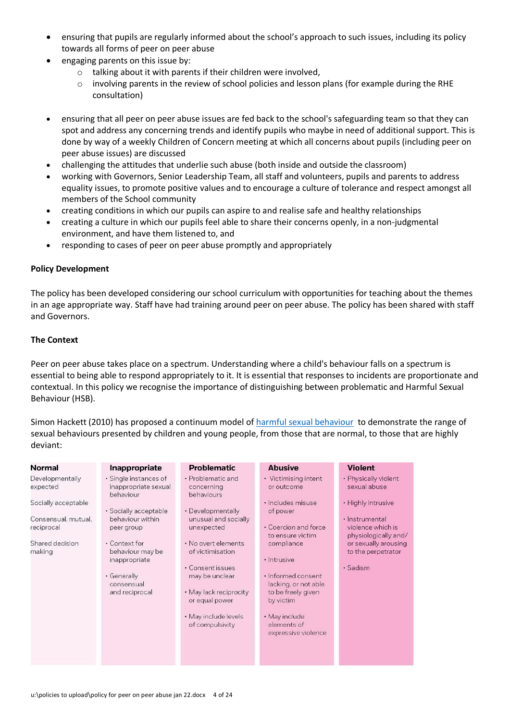- ensuring that pupils are regularly informed about the school's approach to such issues, including its policy towards all forms of peer on peer abuse
- engaging parents on this issue by:
	- o talking about it with parents if their children were involved,
	- o involving parents in the review of school policies and lesson plans (for example during the RHE consultation)
- ensuring that all peer on peer abuse issues are fed back to the school's safeguarding team so that they can spot and address any concerning trends and identify pupils who maybe in need of additional support. This is done by way of a weekly Children of Concern meeting at which all concerns about pupils (including peer on peer abuse issues) are discussed
- challenging the attitudes that underlie such abuse (both inside and outside the classroom)
- working with Governors, Senior Leadership Team, all staff and volunteers, pupils and parents to address equality issues, to promote positive values and to encourage a culture of tolerance and respect amongst all members of the School community
- creating conditions in which our pupils can aspire to and realise safe and healthy relationships
- creating a culture in which our pupils feel able to share their concerns openly, in a non-judgmental environment, and have them listened to, and
- responding to cases of peer on peer abuse promptly and appropriately

#### **Policy Development**

The policy has been developed considering our school curriculum with opportunities for teaching about the themes in an age appropriate way. Staff have had training around peer on peer abuse. The policy has been shared with staff and Governors.

#### **The Context**

Peer on peer abuse takes place on a spectrum. Understanding where a child's behaviour falls on a spectrum is essential to being able to respond appropriately to it. It is essential that responses to incidents are proportionate and contextual. In this policy we recognise the importance of distinguishing between problematic and Harmful Sexual Behaviour (HSB).

Simon Hackett (2010) has proposed a continuum model of [harmful sexual behaviour](https://learning.nspcc.org.uk/media/1657/harmful-sexual-behaviour-framework.pdf) to demonstrate the range of sexual behaviours presented by children and young people, from those that are normal, to those that are highly deviant:

| Normal                                                   | Inappropriate                                                                                     | <b>Problematic</b>                                                                                                                                                   | <b>Abusive</b>                                                                                                                                                                        | <b>Violent</b>                                                                 |
|----------------------------------------------------------|---------------------------------------------------------------------------------------------------|----------------------------------------------------------------------------------------------------------------------------------------------------------------------|---------------------------------------------------------------------------------------------------------------------------------------------------------------------------------------|--------------------------------------------------------------------------------|
| Developmentally<br>expected                              | · Single instances of<br>inappropriate sexual<br>behaviour                                        | • Problematic and<br>concerning<br>behaviours                                                                                                                        | • Victimising intent<br>or outcome                                                                                                                                                    | · Physically violent<br>sexual abuse                                           |
| Socially acceptable<br>Consensual, mutual,<br>reciprocal | · Socially acceptable<br>behaviour within<br>peer group                                           | • Developmentally<br>unusual and socially<br>unexpected                                                                                                              | · Includes misuse<br>of power<br>• Coercion and force                                                                                                                                 | · Highly intrusive<br>· Instrumental<br>violence which is                      |
| Shared decision<br>making                                | • Context for<br>behaviour may be<br>inappropriate<br>• Generally<br>consensual<br>and reciprocal | . No overt elements<br>of victimisation<br>· Consent issues<br>may be unclear<br>• May lack reciprocity<br>or equal power<br>· May include levels<br>of compulsivity | to ensure victim<br>compliance<br>· Intrusive<br>· Informed consent<br>lacking, or not able<br>to be freely given<br>by victim<br>• May include<br>elements of<br>expressive violence | physiologically and/<br>or sexually arousing<br>to the perpetrator<br>· Sadism |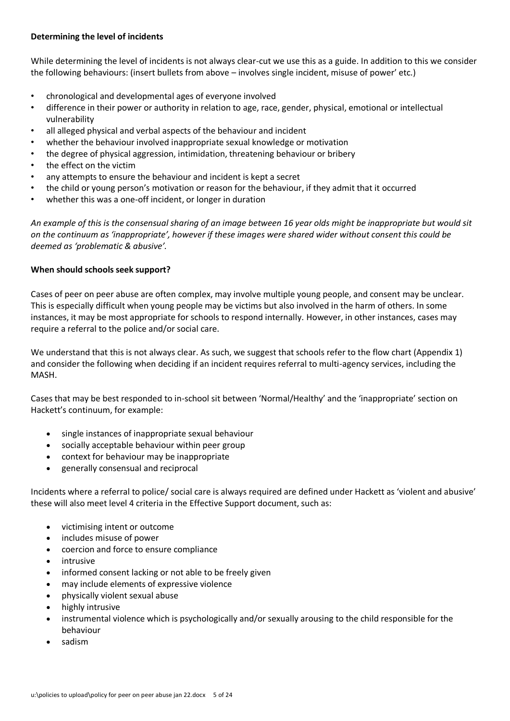## **Determining the level of incidents**

While determining the level of incidents is not always clear-cut we use this as a guide. In addition to this we consider the following behaviours: (insert bullets from above – involves single incident, misuse of power' etc.)

- chronological and developmental ages of everyone involved
- difference in their power or authority in relation to age, race, gender, physical, emotional or intellectual vulnerability
- all alleged physical and verbal aspects of the behaviour and incident
- whether the behaviour involved inappropriate sexual knowledge or motivation
- the degree of physical aggression, intimidation, threatening behaviour or bribery
- the effect on the victim
- any attempts to ensure the behaviour and incident is kept a secret
- the child or young person's motivation or reason for the behaviour, if they admit that it occurred
- whether this was a one-off incident, or longer in duration

*An example of this is the consensual sharing of an image between 16 year olds might be inappropriate but would sit on the continuum as 'inappropriate', however if these images were shared wider without consent this could be deemed as 'problematic & abusive'.* 

## **When should schools seek support?**

Cases of peer on peer abuse are often complex, may involve multiple young people, and consent may be unclear. This is especially difficult when young people may be victims but also involved in the harm of others. In some instances, it may be most appropriate for schools to respond internally. However, in other instances, cases may require a referral to the police and/or social care.

We understand that this is not always clear. As such, we suggest that schools refer to the flow chart (Appendix 1) and consider the following when deciding if an incident requires referral to multi-agency services, including the MASH.

Cases that may be best responded to in-school sit between 'Normal/Healthy' and the 'inappropriate' section on Hackett's continuum, for example:

- single instances of inappropriate sexual behaviour
- socially acceptable behaviour within peer group
- context for behaviour may be inappropriate
- generally consensual and reciprocal

Incidents where a referral to police/ social care is always required are defined under Hackett as 'violent and abusive' these will also meet level 4 criteria in the Effective Support document, such as:

- victimising intent or outcome
- includes misuse of power
- coercion and force to ensure compliance
- **intrusive**
- informed consent lacking or not able to be freely given
- may include elements of expressive violence
- physically violent sexual abuse
- highly intrusive
- instrumental violence which is psychologically and/or sexually arousing to the child responsible for the behaviour
- sadism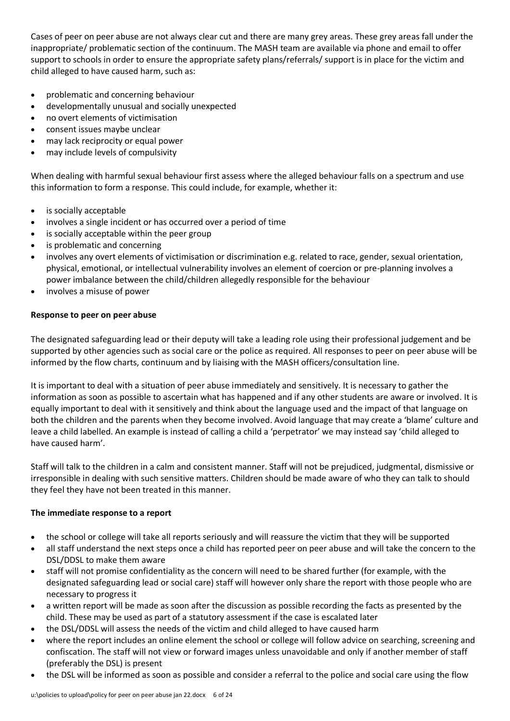Cases of peer on peer abuse are not always clear cut and there are many grey areas. These grey areas fall under the inappropriate/ problematic section of the continuum. The MASH team are available via phone and email to offer support to schools in order to ensure the appropriate safety plans/referrals/ support is in place for the victim and child alleged to have caused harm, such as:

- problematic and concerning behaviour
- developmentally unusual and socially unexpected
- no overt elements of victimisation
- consent issues maybe unclear
- may lack reciprocity or equal power
- may include levels of compulsivity

When dealing with harmful sexual behaviour first assess where the alleged behaviour falls on a spectrum and use this information to form a response. This could include, for example, whether it:

- is socially acceptable
- involves a single incident or has occurred over a period of time
- is socially acceptable within the peer group
- is problematic and concerning
- involves any overt elements of victimisation or discrimination e.g. related to race, gender, sexual orientation, physical, emotional, or intellectual vulnerability involves an element of coercion or pre-planning involves a power imbalance between the child/children allegedly responsible for the behaviour
- involves a misuse of power

## **Response to peer on peer abuse**

The designated safeguarding lead or their deputy will take a leading role using their professional judgement and be supported by other agencies such as social care or the police as required. All responses to peer on peer abuse will be informed by the flow charts, continuum and by liaising with the MASH officers/consultation line.

It is important to deal with a situation of peer abuse immediately and sensitively. It is necessary to gather the information as soon as possible to ascertain what has happened and if any other students are aware or involved. It is equally important to deal with it sensitively and think about the language used and the impact of that language on both the children and the parents when they become involved. Avoid language that may create a 'blame' culture and leave a child labelled. An example is instead of calling a child a 'perpetrator' we may instead say 'child alleged to have caused harm'.

Staff will talk to the children in a calm and consistent manner. Staff will not be prejudiced, judgmental, dismissive or irresponsible in dealing with such sensitive matters. Children should be made aware of who they can talk to should they feel they have not been treated in this manner.

## **The immediate response to a report**

- the school or college will take all reports seriously and will reassure the victim that they will be supported
- all staff understand the next steps once a child has reported peer on peer abuse and will take the concern to the DSL/DDSL to make them aware
- staff will not promise confidentiality as the concern will need to be shared further (for example, with the designated safeguarding lead or social care) staff will however only share the report with those people who are necessary to progress it
- a written report will be made as soon after the discussion as possible recording the facts as presented by the child. These may be used as part of a statutory assessment if the case is escalated later
- the DSL/DDSL will assess the needs of the victim and child alleged to have caused harm
- where the report includes an online element the school or college will follow advice on searching, screening and confiscation. The staff will not view or forward images unless unavoidable and only if another member of staff (preferably the DSL) is present
- the DSL will be informed as soon as possible and consider a referral to the police and social care using the flow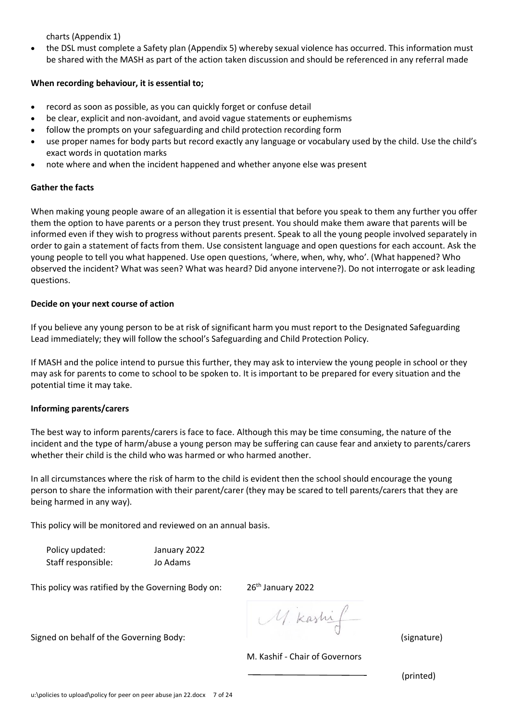charts (Appendix 1)

• the DSL must complete a Safety plan (Appendix 5) whereby sexual violence has occurred. This information must be shared with the MASH as part of the action taken discussion and should be referenced in any referral made

## **When recording behaviour, it is essential to;**

- record as soon as possible, as you can quickly forget or confuse detail
- be clear, explicit and non-avoidant, and avoid vague statements or euphemisms
- follow the prompts on your safeguarding and child protection recording form
- use proper names for body parts but record exactly any language or vocabulary used by the child. Use the child's exact words in quotation marks
- note where and when the incident happened and whether anyone else was present

# **Gather the facts**

When making young people aware of an allegation it is essential that before you speak to them any further you offer them the option to have parents or a person they trust present. You should make them aware that parents will be informed even if they wish to progress without parents present. Speak to all the young people involved separately in order to gain a statement of facts from them. Use consistent language and open questions for each account. Ask the young people to tell you what happened. Use open questions, 'where, when, why, who'. (What happened? Who observed the incident? What was seen? What was heard? Did anyone intervene?). Do not interrogate or ask leading questions.

# **Decide on your next course of action**

If you believe any young person to be at risk of significant harm you must report to the Designated Safeguarding Lead immediately; they will follow the school's Safeguarding and Child Protection Policy.

If MASH and the police intend to pursue this further, they may ask to interview the young people in school or they may ask for parents to come to school to be spoken to. It is important to be prepared for every situation and the potential time it may take.

# **Informing parents/carers**

The best way to inform parents/carers is face to face. Although this may be time consuming, the nature of the incident and the type of harm/abuse a young person may be suffering can cause fear and anxiety to parents/carers whether their child is the child who was harmed or who harmed another.

In all circumstances where the risk of harm to the child is evident then the school should encourage the young person to share the information with their parent/carer (they may be scared to tell parents/carers that they are being harmed in any way).

This policy will be monitored and reviewed on an annual basis.

Policy updated: January 2022 Staff responsible: Jo Adams

This policy was ratified by the Governing Body on: 26<sup>th</sup> January 2022

M. kashi Signed on behalf of the Governing Body: The Society of the Governing Body: The Society of the Society of the Society of the Society of the Society of the Society of the Society of the Society of the Society of the Society

M. Kashif - Chair of Governors

(printed)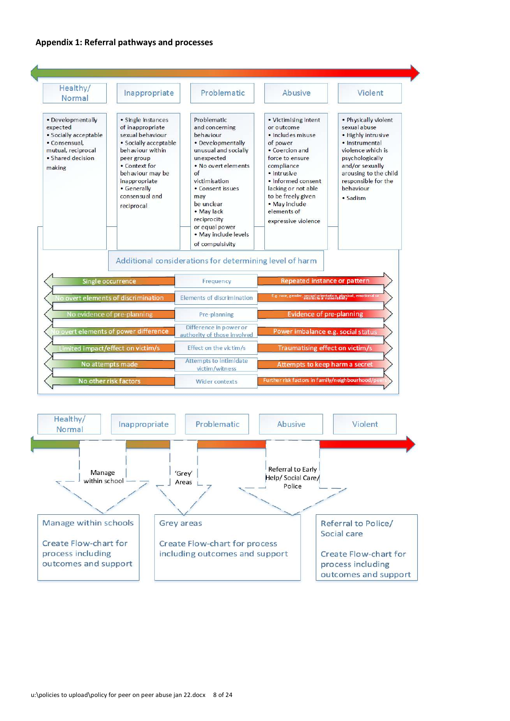#### **Appendix 1: Referral pathways and processes**

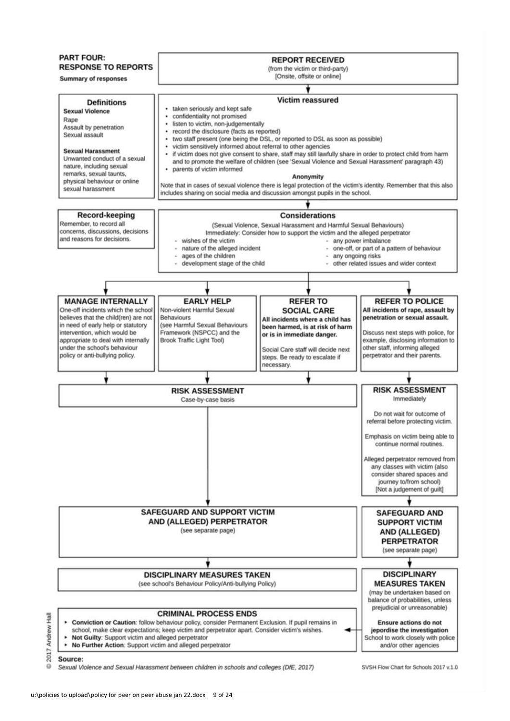

2017 Source:

屋

Andrew

 $\Omega$ Sexual Violence and Sexual Harassment between children in schools and colleges (DfE, 2017) SVSH Flow Chart for Schools 2017 v 1.0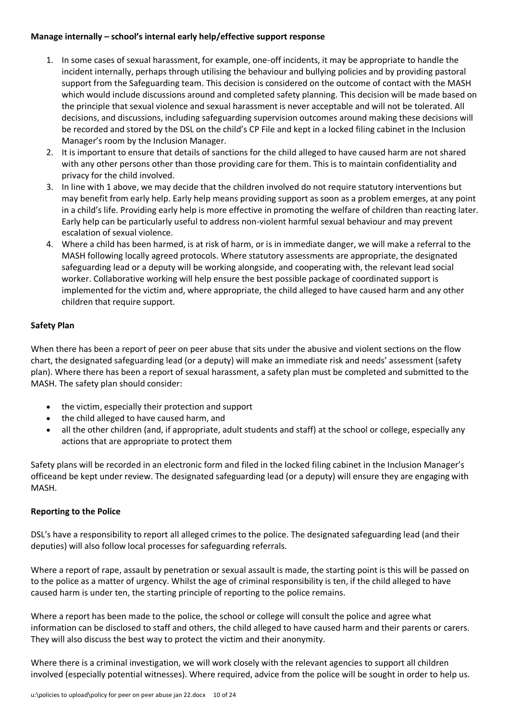## **Manage internally – school's internal early help/effective support response**

- 1. In some cases of sexual harassment, for example, one-off incidents, it may be appropriate to handle the incident internally, perhaps through utilising the behaviour and bullying policies and by providing pastoral support from the Safeguarding team. This decision is considered on the outcome of contact with the MASH which would include discussions around and completed safety planning. This decision will be made based on the principle that sexual violence and sexual harassment is never acceptable and will not be tolerated. All decisions, and discussions, including safeguarding supervision outcomes around making these decisions will be recorded and stored by the DSL on the child's CP File and kept in a locked filing cabinet in the Inclusion Manager's room by the Inclusion Manager.
- 2. It is important to ensure that details of sanctions for the child alleged to have caused harm are not shared with any other persons other than those providing care for them. This is to maintain confidentiality and privacy for the child involved.
- 3. In line with 1 above, we may decide that the children involved do not require statutory interventions but may benefit from early help. Early help means providing support as soon as a problem emerges, at any point in a child's life. Providing early help is more effective in promoting the welfare of children than reacting later. Early help can be particularly useful to address non-violent harmful sexual behaviour and may prevent escalation of sexual violence.
- 4. Where a child has been harmed, is at risk of harm, or is in immediate danger, we will make a referral to the MASH following locally agreed protocols. Where statutory assessments are appropriate, the designated safeguarding lead or a deputy will be working alongside, and cooperating with, the relevant lead social worker. Collaborative working will help ensure the best possible package of coordinated support is implemented for the victim and, where appropriate, the child alleged to have caused harm and any other children that require support.

## **Safety Plan**

When there has been a report of peer on peer abuse that sits under the abusive and violent sections on the flow chart, the designated safeguarding lead (or a deputy) will make an immediate risk and needs' assessment (safety plan). Where there has been a report of sexual harassment, a safety plan must be completed and submitted to the MASH. The safety plan should consider:

- the victim, especially their protection and support
- the child alleged to have caused harm, and
- all the other children (and, if appropriate, adult students and staff) at the school or college, especially any actions that are appropriate to protect them

Safety plans will be recorded in an electronic form and filed in the locked filing cabinet in the Inclusion Manager's officeand be kept under review. The designated safeguarding lead (or a deputy) will ensure they are engaging with MASH.

## **Reporting to the Police**

DSL's have a responsibility to report all alleged crimes to the police. The designated safeguarding lead (and their deputies) will also follow local processes for safeguarding referrals.

Where a report of rape, assault by penetration or sexual assault is made, the starting point is this will be passed on to the police as a matter of urgency. Whilst the age of criminal responsibility is ten, if the child alleged to have caused harm is under ten, the starting principle of reporting to the police remains.

Where a report has been made to the police, the school or college will consult the police and agree what information can be disclosed to staff and others, the child alleged to have caused harm and their parents or carers. They will also discuss the best way to protect the victim and their anonymity.

Where there is a criminal investigation, we will work closely with the relevant agencies to support all children involved (especially potential witnesses). Where required, advice from the police will be sought in order to help us.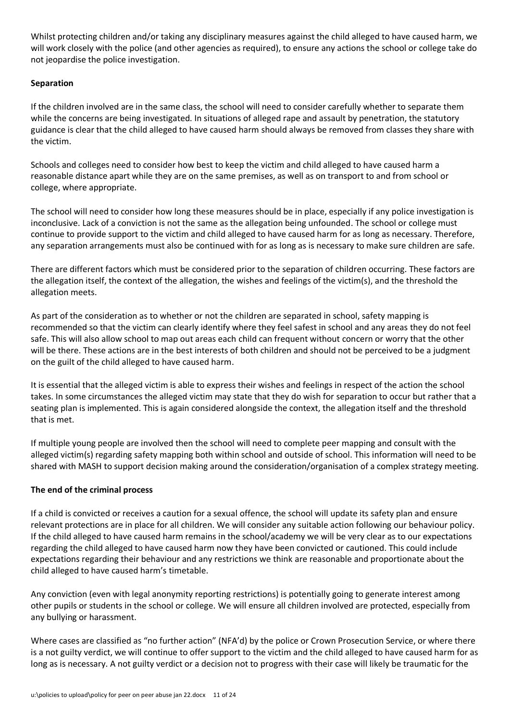Whilst protecting children and/or taking any disciplinary measures against the child alleged to have caused harm, we will work closely with the police (and other agencies as required), to ensure any actions the school or college take do not jeopardise the police investigation.

## **Separation**

If the children involved are in the same class, the school will need to consider carefully whether to separate them while the concerns are being investigated. In situations of alleged rape and assault by penetration, the statutory guidance is clear that the child alleged to have caused harm should always be removed from classes they share with the victim.

Schools and colleges need to consider how best to keep the victim and child alleged to have caused harm a reasonable distance apart while they are on the same premises, as well as on transport to and from school or college, where appropriate.

The school will need to consider how long these measures should be in place, especially if any police investigation is inconclusive. Lack of a conviction is not the same as the allegation being unfounded. The school or college must continue to provide support to the victim and child alleged to have caused harm for as long as necessary. Therefore, any separation arrangements must also be continued with for as long as is necessary to make sure children are safe.

There are different factors which must be considered prior to the separation of children occurring. These factors are the allegation itself, the context of the allegation, the wishes and feelings of the victim(s), and the threshold the allegation meets.

As part of the consideration as to whether or not the children are separated in school, safety mapping is recommended so that the victim can clearly identify where they feel safest in school and any areas they do not feel safe. This will also allow school to map out areas each child can frequent without concern or worry that the other will be there. These actions are in the best interests of both children and should not be perceived to be a judgment on the guilt of the child alleged to have caused harm.

It is essential that the alleged victim is able to express their wishes and feelings in respect of the action the school takes. In some circumstances the alleged victim may state that they do wish for separation to occur but rather that a seating plan is implemented. This is again considered alongside the context, the allegation itself and the threshold that is met.

If multiple young people are involved then the school will need to complete peer mapping and consult with the alleged victim(s) regarding safety mapping both within school and outside of school. This information will need to be shared with MASH to support decision making around the consideration/organisation of a complex strategy meeting.

## **The end of the criminal process**

If a child is convicted or receives a caution for a sexual offence, the school will update its safety plan and ensure relevant protections are in place for all children. We will consider any suitable action following our behaviour policy. If the child alleged to have caused harm remains in the school/academy we will be very clear as to our expectations regarding the child alleged to have caused harm now they have been convicted or cautioned. This could include expectations regarding their behaviour and any restrictions we think are reasonable and proportionate about the child alleged to have caused harm's timetable.

Any conviction (even with legal anonymity reporting restrictions) is potentially going to generate interest among other pupils or students in the school or college. We will ensure all children involved are protected, especially from any bullying or harassment.

Where cases are classified as "no further action" (NFA'd) by the police or Crown Prosecution Service, or where there is a not guilty verdict, we will continue to offer support to the victim and the child alleged to have caused harm for as long as is necessary. A not guilty verdict or a decision not to progress with their case will likely be traumatic for the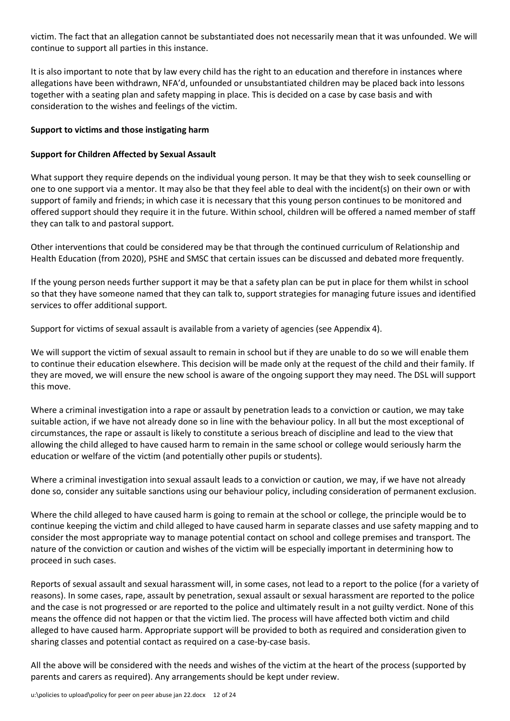victim. The fact that an allegation cannot be substantiated does not necessarily mean that it was unfounded. We will continue to support all parties in this instance.

It is also important to note that by law every child has the right to an education and therefore in instances where allegations have been withdrawn, NFA'd, unfounded or unsubstantiated children may be placed back into lessons together with a seating plan and safety mapping in place. This is decided on a case by case basis and with consideration to the wishes and feelings of the victim.

## **Support to victims and those instigating harm**

## **Support for Children Affected by Sexual Assault**

What support they require depends on the individual young person. It may be that they wish to seek counselling or one to one support via a mentor. It may also be that they feel able to deal with the incident(s) on their own or with support of family and friends; in which case it is necessary that this young person continues to be monitored and offered support should they require it in the future. Within school, children will be offered a named member of staff they can talk to and pastoral support.

Other interventions that could be considered may be that through the continued curriculum of Relationship and Health Education (from 2020), PSHE and SMSC that certain issues can be discussed and debated more frequently.

If the young person needs further support it may be that a safety plan can be put in place for them whilst in school so that they have someone named that they can talk to, support strategies for managing future issues and identified services to offer additional support.

Support for victims of sexual assault is available from a variety of agencies (see Appendix 4).

We will support the victim of sexual assault to remain in school but if they are unable to do so we will enable them to continue their education elsewhere. This decision will be made only at the request of the child and their family. If they are moved, we will ensure the new school is aware of the ongoing support they may need. The DSL will support this move.

Where a criminal investigation into a rape or assault by penetration leads to a conviction or caution, we may take suitable action, if we have not already done so in line with the behaviour policy. In all but the most exceptional of circumstances, the rape or assault is likely to constitute a serious breach of discipline and lead to the view that allowing the child alleged to have caused harm to remain in the same school or college would seriously harm the education or welfare of the victim (and potentially other pupils or students).

Where a criminal investigation into sexual assault leads to a conviction or caution, we may, if we have not already done so, consider any suitable sanctions using our behaviour policy, including consideration of permanent exclusion.

Where the child alleged to have caused harm is going to remain at the school or college, the principle would be to continue keeping the victim and child alleged to have caused harm in separate classes and use safety mapping and to consider the most appropriate way to manage potential contact on school and college premises and transport. The nature of the conviction or caution and wishes of the victim will be especially important in determining how to proceed in such cases.

Reports of sexual assault and sexual harassment will, in some cases, not lead to a report to the police (for a variety of reasons). In some cases, rape, assault by penetration, sexual assault or sexual harassment are reported to the police and the case is not progressed or are reported to the police and ultimately result in a not guilty verdict. None of this means the offence did not happen or that the victim lied. The process will have affected both victim and child alleged to have caused harm. Appropriate support will be provided to both as required and consideration given to sharing classes and potential contact as required on a case-by-case basis.

All the above will be considered with the needs and wishes of the victim at the heart of the process (supported by parents and carers as required). Any arrangements should be kept under review.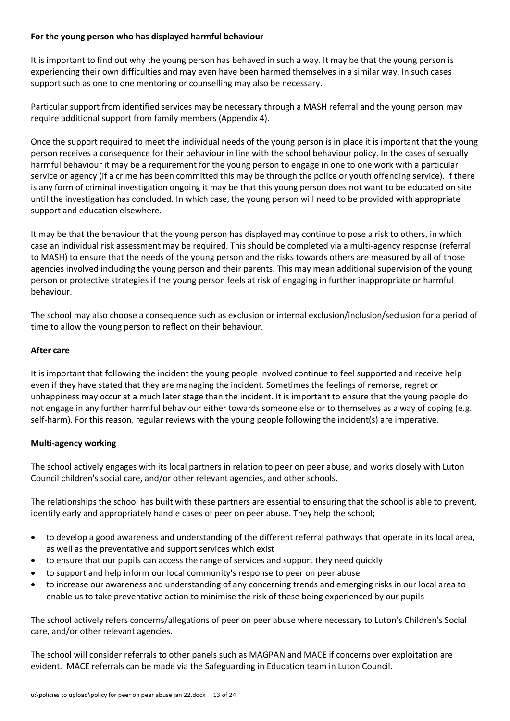## **For the young person who has displayed harmful behaviour**

It is important to find out why the young person has behaved in such a way. It may be that the young person is experiencing their own difficulties and may even have been harmed themselves in a similar way. In such cases support such as one to one mentoring or counselling may also be necessary.

Particular support from identified services may be necessary through a MASH referral and the young person may require additional support from family members (Appendix 4).

Once the support required to meet the individual needs of the young person is in place it is important that the young person receives a consequence for their behaviour in line with the school behaviour policy. In the cases of sexually harmful behaviour it may be a requirement for the young person to engage in one to one work with a particular service or agency (if a crime has been committed this may be through the police or youth offending service). If there is any form of criminal investigation ongoing it may be that this young person does not want to be educated on site until the investigation has concluded. In which case, the young person will need to be provided with appropriate support and education elsewhere.

It may be that the behaviour that the young person has displayed may continue to pose a risk to others, in which case an individual risk assessment may be required. This should be completed via a multi-agency response (referral to MASH) to ensure that the needs of the young person and the risks towards others are measured by all of those agencies involved including the young person and their parents. This may mean additional supervision of the young person or protective strategies if the young person feels at risk of engaging in further inappropriate or harmful behaviour.

The school may also choose a consequence such as exclusion or internal exclusion/inclusion/seclusion for a period of time to allow the young person to reflect on their behaviour.

## **After care**

It is important that following the incident the young people involved continue to feel supported and receive help even if they have stated that they are managing the incident. Sometimes the feelings of remorse, regret or unhappiness may occur at a much later stage than the incident. It is important to ensure that the young people do not engage in any further harmful behaviour either towards someone else or to themselves as a way of coping (e.g. self-harm). For this reason, regular reviews with the young people following the incident(s) are imperative.

## **Multi-agency working**

The school actively engages with its local partners in relation to peer on peer abuse, and works closely with Luton Council children's social care, and/or other relevant agencies, and other schools.

The relationships the school has built with these partners are essential to ensuring that the school is able to prevent, identify early and appropriately handle cases of peer on peer abuse. They help the school;

- to develop a good awareness and understanding of the different referral pathways that operate in its local area, as well as the preventative and support services which exist
- to ensure that our pupils can access the range of services and support they need quickly
- to support and help inform our local community's response to peer on peer abuse
- to increase our awareness and understanding of any concerning trends and emerging risks in our local area to enable us to take preventative action to minimise the risk of these being experienced by our pupils

The school actively refers concerns/allegations of peer on peer abuse where necessary to Luton's Children's Social care, and/or other relevant agencies.

The school will consider referrals to other panels such as MAGPAN and MACE if concerns over exploitation are evident. MACE referrals can be made via the Safeguarding in Education team in Luton Council.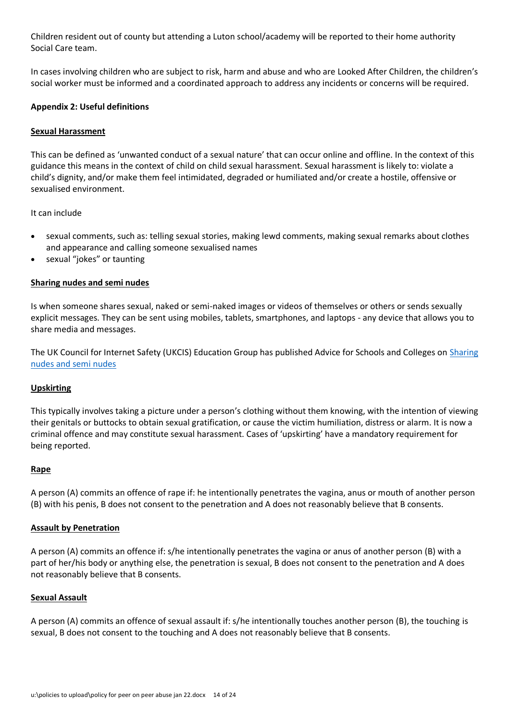Children resident out of county but attending a Luton school/academy will be reported to their home authority Social Care team.

In cases involving children who are subject to risk, harm and abuse and who are Looked After Children, the children's social worker must be informed and a coordinated approach to address any incidents or concerns will be required.

## **Appendix 2: Useful definitions**

## **Sexual Harassment**

This can be defined as 'unwanted conduct of a sexual nature' that can occur online and offline. In the context of this guidance this means in the context of child on child sexual harassment. Sexual harassment is likely to: violate a child's dignity, and/or make them feel intimidated, degraded or humiliated and/or create a hostile, offensive or sexualised environment.

It can include

- sexual comments, such as: telling sexual stories, making lewd comments, making sexual remarks about clothes and appearance and calling someone sexualised names
- sexual "jokes" or taunting

## **Sharing nudes and semi nudes**

Is when someone shares sexual, naked or semi-naked images or videos of themselves or others or sends sexually explicit messages. They can be sent using mobiles, tablets, smartphones, and laptops - any device that allows you to share media and messages.

The UK Council for Internet Safety (UKCIS) Education Group has published Advice for Schools and Colleges on [Sharing](https://www.gov.uk/government/publications/sharing-nudes-and-semi-nudes-advice-for-education-settings-working-with-children-and-young-people/sharing-nudes-and-semi-nudes-advice-for-education-settings-working-with-children-and-young-people)  [nudes and semi nudes](https://www.gov.uk/government/publications/sharing-nudes-and-semi-nudes-advice-for-education-settings-working-with-children-and-young-people/sharing-nudes-and-semi-nudes-advice-for-education-settings-working-with-children-and-young-people)

#### **Upskirting**

This typically involves taking a picture under a person's clothing without them knowing, with the intention of viewing their genitals or buttocks to obtain sexual gratification, or cause the victim humiliation, distress or alarm. It is now a criminal offence and may constitute sexual harassment. Cases of 'upskirting' have a mandatory requirement for being reported.

#### **Rape**

A person (A) commits an offence of rape if: he intentionally penetrates the vagina, anus or mouth of another person (B) with his penis, B does not consent to the penetration and A does not reasonably believe that B consents.

#### **Assault by Penetration**

A person (A) commits an offence if: s/he intentionally penetrates the vagina or anus of another person (B) with a part of her/his body or anything else, the penetration is sexual, B does not consent to the penetration and A does not reasonably believe that B consents.

#### **Sexual Assault**

A person (A) commits an offence of sexual assault if: s/he intentionally touches another person (B), the touching is sexual, B does not consent to the touching and A does not reasonably believe that B consents.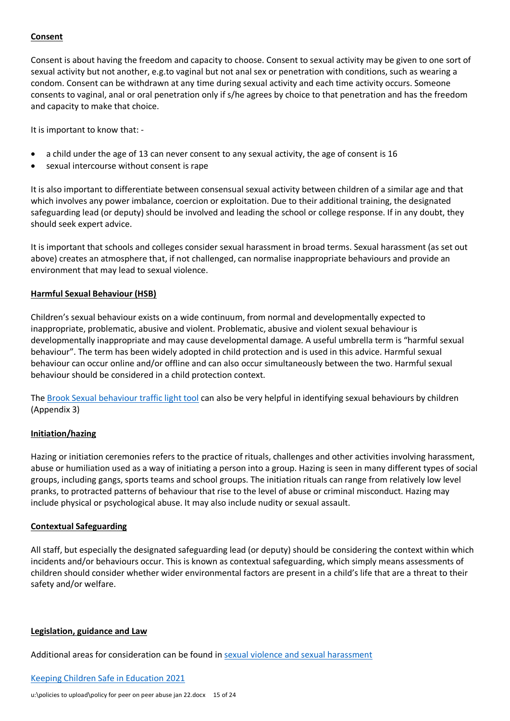## **Consent**

Consent is about having the freedom and capacity to choose. Consent to sexual activity may be given to one sort of sexual activity but not another, e.g.to vaginal but not anal sex or penetration with conditions, such as wearing a condom. Consent can be withdrawn at any time during sexual activity and each time activity occurs. Someone consents to vaginal, anal or oral penetration only if s/he agrees by choice to that penetration and has the freedom and capacity to make that choice.

It is important to know that: -

- a child under the age of 13 can never consent to any sexual activity, the age of consent is 16
- sexual intercourse without consent is rape

It is also important to differentiate between consensual sexual activity between children of a similar age and that which involves any power imbalance, coercion or exploitation. Due to their additional training, the designated safeguarding lead (or deputy) should be involved and leading the school or college response. If in any doubt, they should seek expert advice.

It is important that schools and colleges consider sexual harassment in broad terms. Sexual harassment (as set out above) creates an atmosphere that, if not challenged, can normalise inappropriate behaviours and provide an environment that may lead to sexual violence.

## **Harmful Sexual Behaviour (HSB)**

Children's sexual behaviour exists on a wide continuum, from normal and developmentally expected to inappropriate, problematic, abusive and violent. Problematic, abusive and violent sexual behaviour is developmentally inappropriate and may cause developmental damage. A useful umbrella term is "harmful sexual behaviour". The term has been widely adopted in child protection and is used in this advice. Harmful sexual behaviour can occur online and/or offline and can also occur simultaneously between the two. Harmful sexual behaviour should be considered in a child protection context.

The [Brook Sexual behaviour traffic light tool](http://www.brook.org.uk/our-work/the-sexual-behaviours-traffic-light-tool) can also be very helpful in identifying sexual behaviours by children (Appendix 3)

## **Initiation/hazing**

Hazing or initiation ceremonies refers to the practice of rituals, challenges and other activities involving harassment, abuse or humiliation used as a way of initiating a person into a group. Hazing is seen in many different types of social groups, including gangs, sports teams and school groups. The initiation rituals can range from relatively low level pranks, to protracted patterns of behaviour that rise to the level of abuse or criminal misconduct. Hazing may include physical or psychological abuse. It may also include nudity or sexual assault.

## **Contextual Safeguarding**

All staff, but especially the designated safeguarding lead (or deputy) should be considering the context within which incidents and/or behaviours occur. This is known as contextual safeguarding, which simply means assessments of children should consider whether wider environmental factors are present in a child's life that are a threat to their safety and/or welfare.

## **Legislation, guidance and Law**

Additional areas for consideration can be found in [sexual violence and sexual harassment](https://www.gov.uk/government/publications/sexual-violence-and-sexual-harassment-between-children-in-schools-and-colleges)

[Keeping Children Safe in Education 2021](https://www.gov.uk/government/publications/keeping-children-safe-in-education--2)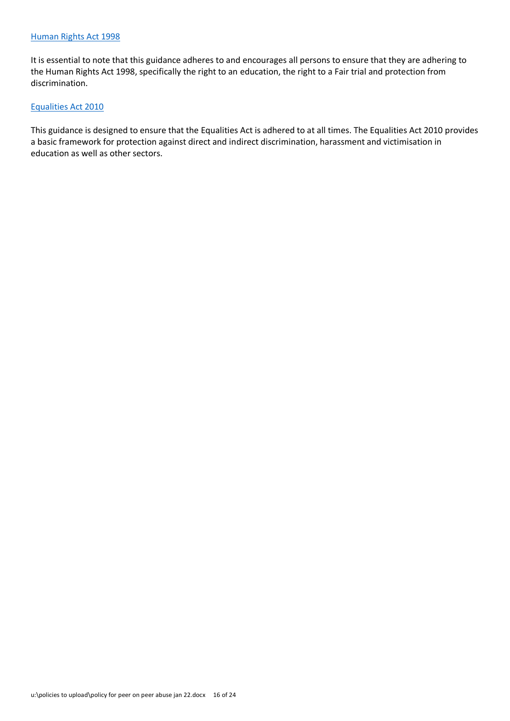It is essential to note that this guidance adheres to and encourages all persons to ensure that they are adhering to the Human Rights Act 1998, specifically the right to an education, the right to a Fair trial and protection from discrimination.

## [Equalities Act 2010](https://www.gov.uk/guidance/equality-act-2010-guidance)

This guidance is designed to ensure that the Equalities Act is adhered to at all times. The Equalities Act 2010 provides a basic framework for protection against direct and indirect discrimination, harassment and victimisation in education as well as other sectors.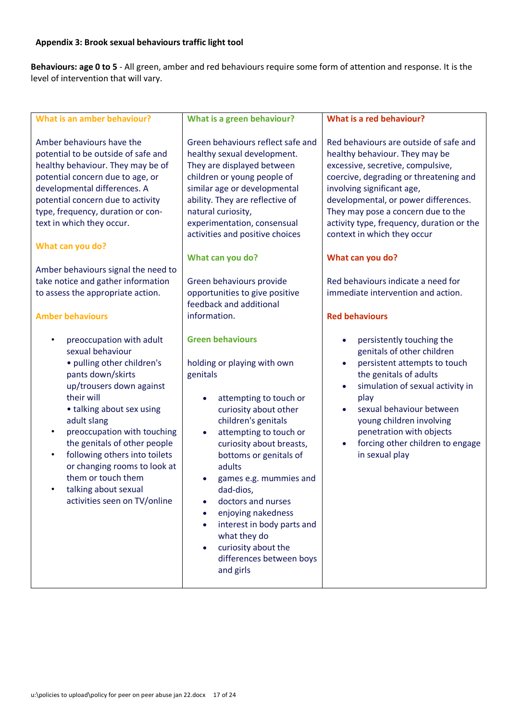## **Appendix 3: Brook sexual behaviours traffic light tool**

**Behaviours: age 0 to 5** - All green, amber and red behaviours require some form of attention and response. It is the level of intervention that will vary.

| <b>What is an amber behaviour?</b>                                                                                                                                                                                                                                                                                                                                                                                            | What is a green behaviour?                                                                                                                                                                                                                                                                                                                                                                                                                                                                               | What is a red behaviour?                                                                                                                                                                                                                                                                                                                                                                                  |
|-------------------------------------------------------------------------------------------------------------------------------------------------------------------------------------------------------------------------------------------------------------------------------------------------------------------------------------------------------------------------------------------------------------------------------|----------------------------------------------------------------------------------------------------------------------------------------------------------------------------------------------------------------------------------------------------------------------------------------------------------------------------------------------------------------------------------------------------------------------------------------------------------------------------------------------------------|-----------------------------------------------------------------------------------------------------------------------------------------------------------------------------------------------------------------------------------------------------------------------------------------------------------------------------------------------------------------------------------------------------------|
| Amber behaviours have the<br>potential to be outside of safe and<br>healthy behaviour. They may be of<br>potential concern due to age, or<br>developmental differences. A<br>potential concern due to activity<br>type, frequency, duration or con-<br>text in which they occur.<br>What can you do?<br>Amber behaviours signal the need to<br>take notice and gather information                                             | Green behaviours reflect safe and<br>healthy sexual development.<br>They are displayed between<br>children or young people of<br>similar age or developmental<br>ability. They are reflective of<br>natural curiosity,<br>experimentation, consensual<br>activities and positive choices<br>What can you do?<br>Green behaviours provide                                                                                                                                                                 | Red behaviours are outside of safe and<br>healthy behaviour. They may be<br>excessive, secretive, compulsive,<br>coercive, degrading or threatening and<br>involving significant age,<br>developmental, or power differences.<br>They may pose a concern due to the<br>activity type, frequency, duration or the<br>context in which they occur<br>What can you do?<br>Red behaviours indicate a need for |
| to assess the appropriate action.                                                                                                                                                                                                                                                                                                                                                                                             | opportunities to give positive<br>feedback and additional                                                                                                                                                                                                                                                                                                                                                                                                                                                | immediate intervention and action.                                                                                                                                                                                                                                                                                                                                                                        |
| <b>Amber behaviours</b>                                                                                                                                                                                                                                                                                                                                                                                                       | information.                                                                                                                                                                                                                                                                                                                                                                                                                                                                                             | <b>Red behaviours</b>                                                                                                                                                                                                                                                                                                                                                                                     |
| preoccupation with adult<br>sexual behaviour<br>• pulling other children's<br>pants down/skirts<br>up/trousers down against<br>their will<br>• talking about sex using<br>adult slang<br>preoccupation with touching<br>$\bullet$<br>the genitals of other people<br>following others into toilets<br>$\bullet$<br>or changing rooms to look at<br>them or touch them<br>talking about sexual<br>activities seen on TV/online | <b>Green behaviours</b><br>holding or playing with own<br>genitals<br>attempting to touch or<br>$\bullet$<br>curiosity about other<br>children's genitals<br>attempting to touch or<br>$\bullet$<br>curiosity about breasts,<br>bottoms or genitals of<br>adults<br>games e.g. mummies and<br>dad-dios,<br>doctors and nurses<br>$\bullet$<br>enjoying nakedness<br>interest in body parts and<br>$\bullet$<br>what they do<br>curiosity about the<br>$\bullet$<br>differences between boys<br>and girls | persistently touching the<br>$\bullet$<br>genitals of other children<br>persistent attempts to touch<br>$\bullet$<br>the genitals of adults<br>simulation of sexual activity in<br>$\bullet$<br>play<br>sexual behaviour between<br>young children involving<br>penetration with objects<br>forcing other children to engage<br>in sexual play                                                            |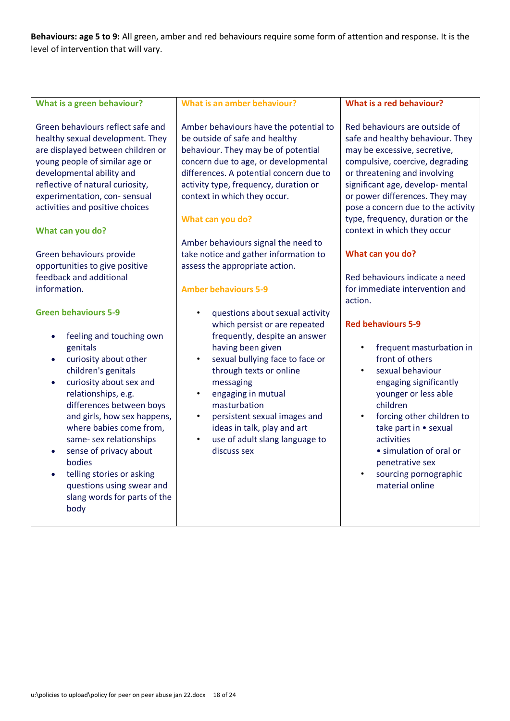**Behaviours: age 5 to 9:** All green, amber and red behaviours require some form of attention and response. It is the level of intervention that will vary.

| What is a green behaviour?                                                                                                                                                                                                                                                                                                                                                                                                   | <b>What is an amber behaviour?</b>                                                                                                                                                                                                                                                                                                                                                                                                               | What is a red behaviour?                                                                                                                                                                                                                                                                                                                                                                                                                               |  |
|------------------------------------------------------------------------------------------------------------------------------------------------------------------------------------------------------------------------------------------------------------------------------------------------------------------------------------------------------------------------------------------------------------------------------|--------------------------------------------------------------------------------------------------------------------------------------------------------------------------------------------------------------------------------------------------------------------------------------------------------------------------------------------------------------------------------------------------------------------------------------------------|--------------------------------------------------------------------------------------------------------------------------------------------------------------------------------------------------------------------------------------------------------------------------------------------------------------------------------------------------------------------------------------------------------------------------------------------------------|--|
| Green behaviours reflect safe and<br>healthy sexual development. They<br>are displayed between children or<br>young people of similar age or<br>developmental ability and<br>reflective of natural curiosity,<br>experimentation, con-sensual<br>activities and positive choices<br>What can you do?<br>Green behaviours provide<br>opportunities to give positive<br>feedback and additional<br>information.                | Amber behaviours have the potential to<br>be outside of safe and healthy<br>behaviour. They may be of potential<br>concern due to age, or developmental<br>differences. A potential concern due to<br>activity type, frequency, duration or<br>context in which they occur.<br>What can you do?<br>Amber behaviours signal the need to<br>take notice and gather information to<br>assess the appropriate action.<br><b>Amber behaviours 5-9</b> | Red behaviours are outside of<br>safe and healthy behaviour. They<br>may be excessive, secretive,<br>compulsive, coercive, degrading<br>or threatening and involving<br>significant age, develop- mental<br>or power differences. They may<br>pose a concern due to the activity<br>type, frequency, duration or the<br>context in which they occur<br>What can you do?<br>Red behaviours indicate a need<br>for immediate intervention and<br>action. |  |
| <b>Green behaviours 5-9</b><br>feeling and touching own<br>genitals<br>curiosity about other<br>children's genitals<br>curiosity about sex and<br>relationships, e.g.<br>differences between boys<br>and girls, how sex happens,<br>where babies come from,<br>same- sex relationships<br>sense of privacy about<br>bodies<br>telling stories or asking<br>questions using swear and<br>slang words for parts of the<br>body | questions about sexual activity<br>which persist or are repeated<br>frequently, despite an answer<br>having been given<br>sexual bullying face to face or<br>through texts or online<br>messaging<br>engaging in mutual<br>masturbation<br>persistent sexual images and<br>ideas in talk, play and art<br>use of adult slang language to<br>discuss sex                                                                                          | <b>Red behaviours 5-9</b><br>frequent masturbation in<br>front of others<br>sexual behaviour<br>engaging significantly<br>younger or less able<br>children<br>forcing other children to<br>take part in • sexual<br>activities<br>· simulation of oral or<br>penetrative sex<br>sourcing pornographic<br>material online                                                                                                                               |  |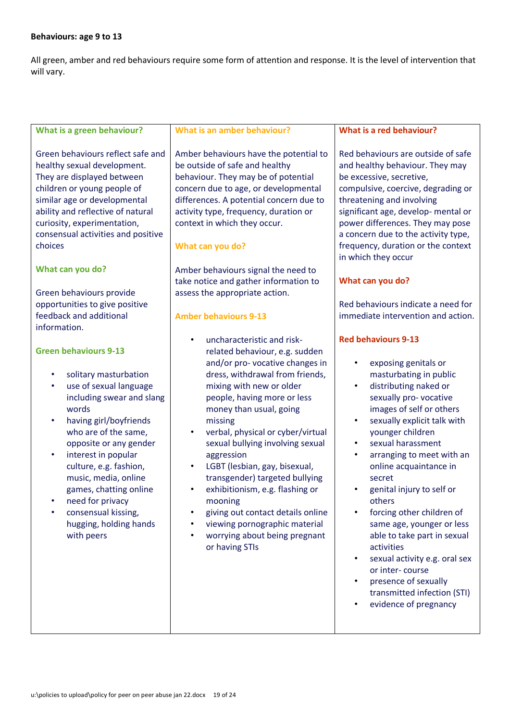## **Behaviours: age 9 to 13**

All green, amber and red behaviours require some form of attention and response. It is the level of intervention that will vary.

| <b>What is a green behaviour?</b>                                                                                                                                                                                                                                                                                                                                                                                                                                                                                                                                                                                                                                                                                                                                                                                                                      | <b>What is an amber behaviour?</b>                                                                                                                                                                                                                                                                                                                                                                                                                                                                                                                                                                                                                                                                                                                                                                                                                                                                                                                                                                                                                              | What is a red behaviour?                                                                                                                                                                                                                                                                                                                                                                                                                                                                                                                                                                                                                                                                                                                                                                                                                                                                                                                                                                                                                                                                                                                            |
|--------------------------------------------------------------------------------------------------------------------------------------------------------------------------------------------------------------------------------------------------------------------------------------------------------------------------------------------------------------------------------------------------------------------------------------------------------------------------------------------------------------------------------------------------------------------------------------------------------------------------------------------------------------------------------------------------------------------------------------------------------------------------------------------------------------------------------------------------------|-----------------------------------------------------------------------------------------------------------------------------------------------------------------------------------------------------------------------------------------------------------------------------------------------------------------------------------------------------------------------------------------------------------------------------------------------------------------------------------------------------------------------------------------------------------------------------------------------------------------------------------------------------------------------------------------------------------------------------------------------------------------------------------------------------------------------------------------------------------------------------------------------------------------------------------------------------------------------------------------------------------------------------------------------------------------|-----------------------------------------------------------------------------------------------------------------------------------------------------------------------------------------------------------------------------------------------------------------------------------------------------------------------------------------------------------------------------------------------------------------------------------------------------------------------------------------------------------------------------------------------------------------------------------------------------------------------------------------------------------------------------------------------------------------------------------------------------------------------------------------------------------------------------------------------------------------------------------------------------------------------------------------------------------------------------------------------------------------------------------------------------------------------------------------------------------------------------------------------------|
| Green behaviours reflect safe and<br>healthy sexual development.<br>They are displayed between<br>children or young people of<br>similar age or developmental<br>ability and reflective of natural<br>curiosity, experimentation,<br>consensual activities and positive<br>choices<br>What can you do?<br>Green behaviours provide<br>opportunities to give positive<br>feedback and additional<br>information.<br><b>Green behaviours 9-13</b><br>solitary masturbation<br>$\bullet$<br>use of sexual language<br>٠<br>including swear and slang<br>words<br>having girl/boyfriends<br>$\bullet$<br>who are of the same,<br>opposite or any gender<br>interest in popular<br>$\bullet$<br>culture, e.g. fashion,<br>music, media, online<br>games, chatting online<br>need for privacy<br>consensual kissing,<br>hugging, holding hands<br>with peers | Amber behaviours have the potential to<br>be outside of safe and healthy<br>behaviour. They may be of potential<br>concern due to age, or developmental<br>differences. A potential concern due to<br>activity type, frequency, duration or<br>context in which they occur.<br>What can you do?<br>Amber behaviours signal the need to<br>take notice and gather information to<br>assess the appropriate action.<br><b>Amber behaviours 9-13</b><br>uncharacteristic and risk-<br>related behaviour, e.g. sudden<br>and/or pro-vocative changes in<br>dress, withdrawal from friends,<br>mixing with new or older<br>people, having more or less<br>money than usual, going<br>missing<br>verbal, physical or cyber/virtual<br>$\bullet$<br>sexual bullying involving sexual<br>aggression<br>LGBT (lesbian, gay, bisexual,<br>$\bullet$<br>transgender) targeted bullying<br>exhibitionism, e.g. flashing or<br>$\bullet$<br>mooning<br>giving out contact details online<br>viewing pornographic material<br>worrying about being pregnant<br>or having STIs | Red behaviours are outside of safe<br>and healthy behaviour. They may<br>be excessive, secretive,<br>compulsive, coercive, degrading or<br>threatening and involving<br>significant age, develop-mental or<br>power differences. They may pose<br>a concern due to the activity type,<br>frequency, duration or the context<br>in which they occur<br>What can you do?<br>Red behaviours indicate a need for<br>immediate intervention and action.<br><b>Red behaviours 9-13</b><br>exposing genitals or<br>$\bullet$<br>masturbating in public<br>distributing naked or<br>$\bullet$<br>sexually pro-vocative<br>images of self or others<br>sexually explicit talk with<br>$\bullet$<br>younger children<br>sexual harassment<br>$\bullet$<br>arranging to meet with an<br>$\bullet$<br>online acquaintance in<br>secret<br>genital injury to self or<br>$\bullet$<br>others<br>forcing other children of<br>same age, younger or less<br>able to take part in sexual<br>activities<br>sexual activity e.g. oral sex<br>$\bullet$<br>or inter-course<br>presence of sexually<br>$\bullet$<br>transmitted infection (STI)<br>evidence of pregnancy |
|                                                                                                                                                                                                                                                                                                                                                                                                                                                                                                                                                                                                                                                                                                                                                                                                                                                        |                                                                                                                                                                                                                                                                                                                                                                                                                                                                                                                                                                                                                                                                                                                                                                                                                                                                                                                                                                                                                                                                 |                                                                                                                                                                                                                                                                                                                                                                                                                                                                                                                                                                                                                                                                                                                                                                                                                                                                                                                                                                                                                                                                                                                                                     |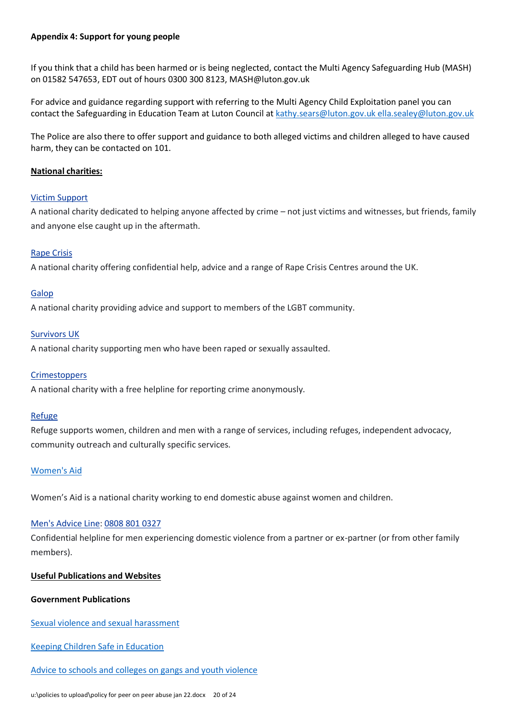## **Appendix 4: Support for young people**

If you think that a child has been harmed or is being neglected, contact the Multi Agency Safeguarding Hub (MASH) on 01582 547653, EDT out of hours 0300 300 8123, MASH@luton.gov.uk

For advice and guidance regarding support with referring to the Multi Agency Child Exploitation panel you can contact the Safeguarding in Education Team at Luton Council at [kathy.sears@luton.gov.uk ella.sealey@luton.gov.uk](mailto:kathy.sears@luton.gov.uk%20ella.sealey@luton.gov.uk)

The Police are also there to offer support and guidance to both alleged victims and children alleged to have caused harm, they can be contacted on 101.

## **National charities:**

## [Victim Support](http://victimsupport.org.uk/)

A national charity dedicated to helping anyone affected by crime – not just victims and witnesses, but friends, family and anyone else caught up in the aftermath.

## [Rape Crisis](http://rapecrisis.org.uk/)

A national charity offering confidential help, advice and a range of Rape Crisis Centres around the UK.

## [Galop](http://www.galop.org.uk/)

A national charity providing advice and support to members of the LGBT community.

## [Survivors UK](https://www.survivorsuk.org/)

A national charity supporting men who have been raped or sexually assaulted.

## **[Crimestoppers](https://crimestoppers-uk.org/)**

A national charity with a free helpline for reporting crime anonymously.

## [Refuge](https://www.refuge.org.uk/)

Refuge supports women, children and men with a range of services, including refuges, independent advocacy, community outreach and culturally specific services.

## [Women's Aid](https://www.womensaid.org.uk/)

Women's Aid is a national charity working to end domestic abuse against women and children.

## [Men's Advice Line:](http://www.mensadviceline.org.uk/) [0808](tel:08088010327) 801 0327

Confidential helpline for men experiencing domestic violence from a partner or ex-partner (or from other family members).

## **Useful Publications and Websites**

## **Government Publications**

[Sexual violence and sexual harassment](https://www.gov.uk/government/publications/sexual-violence-and-sexual-harassment-between-children-in-schools-and-colleges)

[Keeping Children Safe in Education](file:///C:/Users/searsk/AppData/Local/Microsoft/Windows/INetCache/Content.Outlook/8RJ5DO98/www.gov.uk/government/publications/keeping-%20children-safe-in-education)

## [Advice to schools and colleges on gangs and youth violence](file:///C:/Users/searsk/AppData/Local/Microsoft/Windows/INetCache/Content.Outlook/8RJ5DO98/www.gov.uk/government/publications/advice-to-schools-and-colleges-on-gangs-and-youth-%20violence)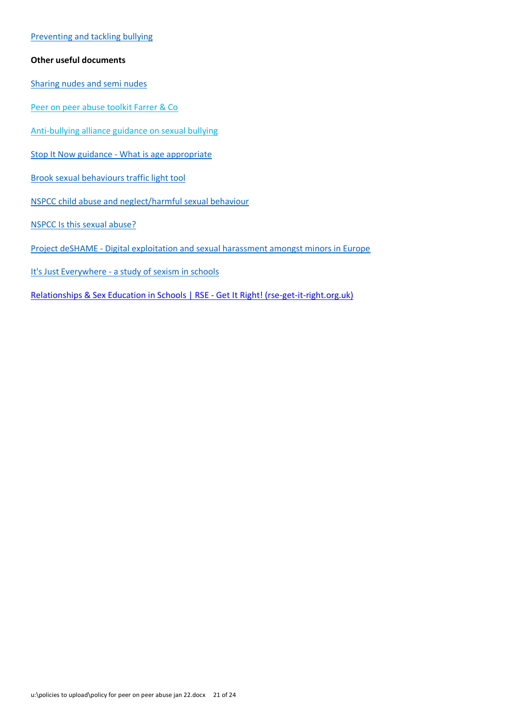## [Preventing and tackling bullying](file:///C:/Users/searsk/AppData/Local/Microsoft/Windows/INetCache/Content.Outlook/8RJ5DO98/www.gov.uk/government/publications/preventing-and-tackling-bullying)

## **Other useful documents**

[Sharing nudes and semi nudes](https://www.gov.uk/government/publications/sharing-nudes-and-semi-nudes-advice-for-education-settings-working-with-children-and-young-people/sharing-nudes-and-semi-nudes-advice-for-education-settings-working-with-children-and-young-people) 

Peer on peer abuse toolkit Farrer & Co

[Anti-bullying alliance guidance on sexual bullying](https://anti-bullyingalliance.org.uk/sites/default/files/uploads/attachments/Sexual%20bullying%20-%20anti-bullying%20guidance%20for%20teachers%20and%20other%20professionals%20-%20FINAL_0.pdf)

[Stop It Now guidance - What is age appropriate](http://www.stopitnow.org/ohc-content/what-is-age-appropriate)

[Brook sexual behaviours traffic light tool](https://www.brook.org.uk/our-work/using-the-sexual-behaviours-traffic-light-tool) 

[NSPCC child abuse and neglect/harmful sexual behaviour](https://learning.nspcc.org.uk/child-abuse-and-neglect/harmful-sexual-behaviour)

[NSPCC Is this sexual abuse?](https://learning.nspcc.org.uk/media/1032/nspcc-helplines-report-peer-sexual-abuse.pdf)

[Project deSHAME - Digital exploitation and sexual harassment amongst minors in Europe](https://www.childnet.com/our-projects/project-deshame)

It's Just Everywhere - a study of sexism in schools

[Relationships & Sex Education in Schools | RSE - Get It Right! \(rse-get-it-right.org.uk\)](https://rse-get-it-right.org.uk/)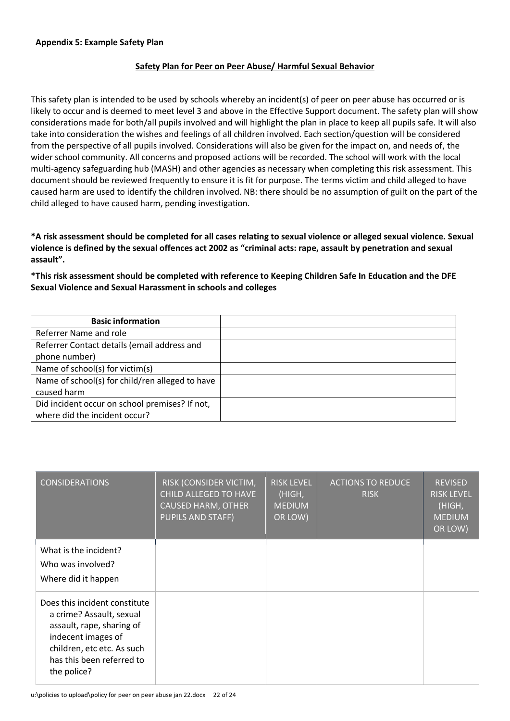## **Safety Plan for Peer on Peer Abuse/ Harmful Sexual Behavior**

This safety plan is intended to be used by schools whereby an incident(s) of peer on peer abuse has occurred or is likely to occur and is deemed to meet level 3 and above in the Effective Support document. The safety plan will show considerations made for both/all pupils involved and will highlight the plan in place to keep all pupils safe. It will also take into consideration the wishes and feelings of all children involved. Each section/question will be considered from the perspective of all pupils involved. Considerations will also be given for the impact on, and needs of, the wider school community. All concerns and proposed actions will be recorded. The school will work with the local multi-agency safeguarding hub (MASH) and other agencies as necessary when completing this risk assessment. This document should be reviewed frequently to ensure it is fit for purpose. The terms victim and child alleged to have caused harm are used to identify the children involved. NB: there should be no assumption of guilt on the part of the child alleged to have caused harm, pending investigation.

**\*A risk assessment should be completed for all cases relating to sexual violence or alleged sexual violence. Sexual violence is defined by the sexual offences act 2002 as "criminal acts: rape, assault by penetration and sexual assault".**

**\*This risk assessment should be completed with reference to Keeping Children Safe In Education and the DFE Sexual Violence and Sexual Harassment in schools and colleges** 

| <b>Basic information</b>                        |  |
|-------------------------------------------------|--|
| Referrer Name and role                          |  |
| Referrer Contact details (email address and     |  |
| phone number)                                   |  |
| Name of school(s) for victim(s)                 |  |
| Name of school(s) for child/ren alleged to have |  |
| caused harm                                     |  |
| Did incident occur on school premises? If not,  |  |
| where did the incident occur?                   |  |

| <b>CONSIDERATIONS</b>                                                                                                                                                                  | RISK (CONSIDER VICTIM,<br><b>CHILD ALLEGED TO HAVE</b><br><b>CAUSED HARM, OTHER</b><br><b>PUPILS AND STAFF)</b> | <b>RISK LEVEL</b><br>(HIGH,<br><b>MEDIUM</b><br>OR LOW) | <b>ACTIONS TO REDUCE</b><br><b>RISK</b> | <b>REVISED</b><br><b>RISK LEVEL</b><br>(HIGH,<br><b>MEDIUM</b><br>OR LOW) |
|----------------------------------------------------------------------------------------------------------------------------------------------------------------------------------------|-----------------------------------------------------------------------------------------------------------------|---------------------------------------------------------|-----------------------------------------|---------------------------------------------------------------------------|
| What is the incident?<br>Who was involved?<br>Where did it happen                                                                                                                      |                                                                                                                 |                                                         |                                         |                                                                           |
| Does this incident constitute<br>a crime? Assault, sexual<br>assault, rape, sharing of<br>indecent images of<br>children, etc etc. As such<br>has this been referred to<br>the police? |                                                                                                                 |                                                         |                                         |                                                                           |

u:\policies to upload\policy for peer on peer abuse jan 22.docx 22 of 24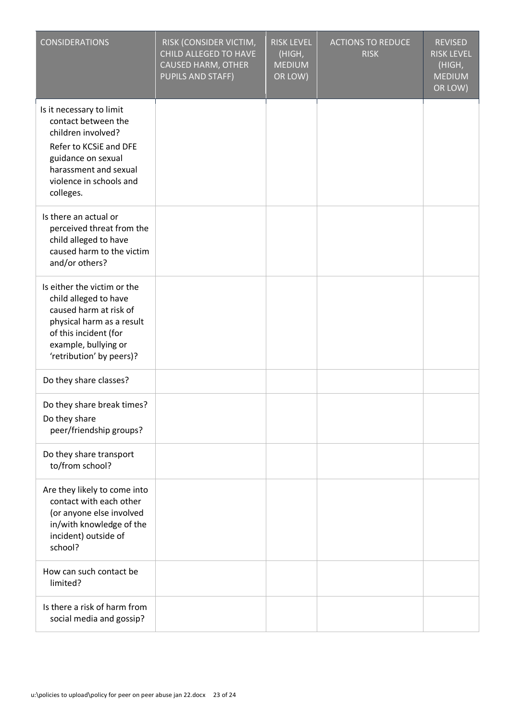| <b>CONSIDERATIONS</b>                                                                                                                                                                    | RISK (CONSIDER VICTIM,<br>CHILD ALLEGED TO HAVE<br><b>CAUSED HARM, OTHER</b><br><b>PUPILS AND STAFF)</b> | <b>RISK LEVEL</b><br>(HIGH,<br><b>MEDIUM</b><br>OR LOW) | <b>ACTIONS TO REDUCE</b><br><b>RISK</b> | <b>REVISED</b><br><b>RISK LEVEL</b><br>(HIGH,<br><b>MEDIUM</b><br>OR LOW) |
|------------------------------------------------------------------------------------------------------------------------------------------------------------------------------------------|----------------------------------------------------------------------------------------------------------|---------------------------------------------------------|-----------------------------------------|---------------------------------------------------------------------------|
| Is it necessary to limit<br>contact between the<br>children involved?<br>Refer to KCSiE and DFE<br>guidance on sexual<br>harassment and sexual<br>violence in schools and<br>colleges.   |                                                                                                          |                                                         |                                         |                                                                           |
| Is there an actual or<br>perceived threat from the<br>child alleged to have<br>caused harm to the victim<br>and/or others?                                                               |                                                                                                          |                                                         |                                         |                                                                           |
| Is either the victim or the<br>child alleged to have<br>caused harm at risk of<br>physical harm as a result<br>of this incident (for<br>example, bullying or<br>'retribution' by peers)? |                                                                                                          |                                                         |                                         |                                                                           |
| Do they share classes?                                                                                                                                                                   |                                                                                                          |                                                         |                                         |                                                                           |
| Do they share break times?<br>Do they share<br>peer/friendship groups?                                                                                                                   |                                                                                                          |                                                         |                                         |                                                                           |
| Do they share transport<br>to/from school?                                                                                                                                               |                                                                                                          |                                                         |                                         |                                                                           |
| Are they likely to come into<br>contact with each other<br>(or anyone else involved<br>in/with knowledge of the<br>incident) outside of<br>school?                                       |                                                                                                          |                                                         |                                         |                                                                           |
| How can such contact be<br>limited?                                                                                                                                                      |                                                                                                          |                                                         |                                         |                                                                           |
| Is there a risk of harm from<br>social media and gossip?                                                                                                                                 |                                                                                                          |                                                         |                                         |                                                                           |